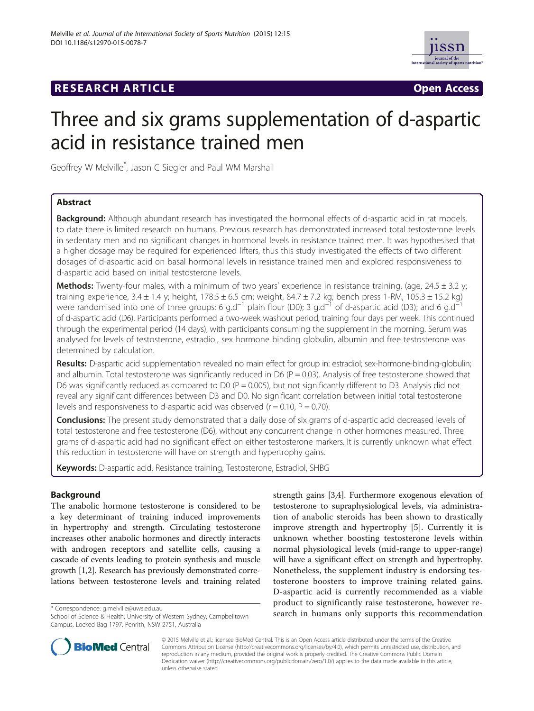## **RESEARCH ARTICLE Example 2018 12:00 Open Access**



# Three and six grams supplementation of d-aspartic acid in resistance trained men

Geoffrey W Melville\* , Jason C Siegler and Paul WM Marshall

## Abstract

**Background:** Although abundant research has investigated the hormonal effects of d-aspartic acid in rat models, to date there is limited research on humans. Previous research has demonstrated increased total testosterone levels in sedentary men and no significant changes in hormonal levels in resistance trained men. It was hypothesised that a higher dosage may be required for experienced lifters, thus this study investigated the effects of two different dosages of d-aspartic acid on basal hormonal levels in resistance trained men and explored responsiveness to d-aspartic acid based on initial testosterone levels.

**Methods:** Twenty-four males, with a minimum of two years' experience in resistance training, (age,  $24.5 \pm 3.2$  y; training experience,  $3.4 \pm 1.4$  y; height,  $178.5 \pm 6.5$  cm; weight,  $84.7 \pm 7.2$  kg; bench press 1-RM,  $105.3 \pm 15.2$  kg) were randomised into one of three groups: 6 g.d<sup>-1</sup> plain flour (D0); 3 g.d<sup>-1</sup> of d-aspartic acid (D3); and 6 g.d<sup>-1</sup> of d-aspartic acid (D6). Participants performed a two-week washout period, training four days per week. This continued through the experimental period (14 days), with participants consuming the supplement in the morning. Serum was analysed for levels of testosterone, estradiol, sex hormone binding globulin, albumin and free testosterone was determined by calculation.

Results: D-aspartic acid supplementation revealed no main effect for group in: estradiol; sex-hormone-binding-globulin; and albumin. Total testosterone was significantly reduced in D6 ( $P = 0.03$ ). Analysis of free testosterone showed that D6 was significantly reduced as compared to D0 ( $P = 0.005$ ), but not significantly different to D3. Analysis did not reveal any significant differences between D3 and D0. No significant correlation between initial total testosterone levels and responsiveness to d-aspartic acid was observed  $(r = 0.10, P = 0.70)$ .

Conclusions: The present study demonstrated that a daily dose of six grams of d-aspartic acid decreased levels of total testosterone and free testosterone (D6), without any concurrent change in other hormones measured. Three grams of d-aspartic acid had no significant effect on either testosterone markers. It is currently unknown what effect this reduction in testosterone will have on strength and hypertrophy gains.

Keywords: D-aspartic acid, Resistance training, Testosterone, Estradiol, SHBG

### Background

The anabolic hormone testosterone is considered to be a key determinant of training induced improvements in hypertrophy and strength. Circulating testosterone increases other anabolic hormones and directly interacts with androgen receptors and satellite cells, causing a cascade of events leading to protein synthesis and muscle growth [[1,2\]](#page-5-0). Research has previously demonstrated correlations between testosterone levels and training related

strength gains [\[3,4\]](#page-5-0). Furthermore exogenous elevation of testosterone to supraphysiological levels, via administration of anabolic steroids has been shown to drastically improve strength and hypertrophy [[5\]](#page-5-0). Currently it is unknown whether boosting testosterone levels within normal physiological levels (mid-range to upper-range) will have a significant effect on strength and hypertrophy. Nonetheless, the supplement industry is endorsing testosterone boosters to improve training related gains. D-aspartic acid is currently recommended as a viable product to significantly raise testosterone, however re\* Correspondence: [g.melville@uws.edu.au](mailto:g.melville@uws.edu.au) **product to significantly raise testosterone, nowever re**<br>School of Science & Health University of Western Sydney Campbelltown **search in humans only supports this recommendation** 



© 2015 Melville et al.; licensee BioMed Central. This is an Open Access article distributed under the terms of the Creative Commons Attribution License [\(http://creativecommons.org/licenses/by/4.0\)](http://creativecommons.org/licenses/by/4.0), which permits unrestricted use, distribution, and reproduction in any medium, provided the original work is properly credited. The Creative Commons Public Domain Dedication waiver [\(http://creativecommons.org/publicdomain/zero/1.0/](http://creativecommons.org/publicdomain/zero/1.0/)) applies to the data made available in this article, unless otherwise stated.

School of Science & Health, University of Western Sydney, Campbelltown Campus, Locked Bag 1797, Penrith, NSW 2751, Australia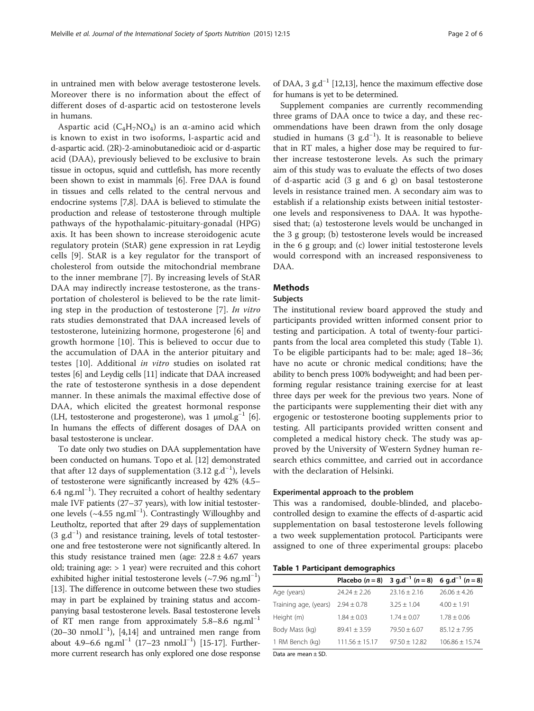in untrained men with below average testosterone levels. Moreover there is no information about the effect of different doses of d-aspartic acid on testosterone levels in humans.

Aspartic acid  $(C_4H_7NO_4)$  is an  $\alpha$ -amino acid which is known to exist in two isoforms, l-aspartic acid and d-aspartic acid. (2R)-2-aminobutanedioic acid or d-aspartic acid (DAA), previously believed to be exclusive to brain tissue in octopus, squid and cuttlefish, has more recently been shown to exist in mammals [\[6\]](#page-5-0). Free DAA is found in tissues and cells related to the central nervous and endocrine systems [\[7,8\]](#page-5-0). DAA is believed to stimulate the production and release of testosterone through multiple pathways of the hypothalamic-pituitary-gonadal (HPG) axis. It has been shown to increase steroidogenic acute regulatory protein (StAR) gene expression in rat Leydig cells [[9\]](#page-5-0). StAR is a key regulator for the transport of cholesterol from outside the mitochondrial membrane to the inner membrane [\[7](#page-5-0)]. By increasing levels of StAR DAA may indirectly increase testosterone, as the transportation of cholesterol is believed to be the rate limiting step in the production of testosterone [\[7](#page-5-0)]. In vitro rats studies demonstrated that DAA increased levels of testosterone, luteinizing hormone, progesterone [[6\]](#page-5-0) and growth hormone [[10\]](#page-5-0). This is believed to occur due to the accumulation of DAA in the anterior pituitary and testes [[10\]](#page-5-0). Additional in vitro studies on isolated rat testes [\[6\]](#page-5-0) and Leydig cells [\[11\]](#page-5-0) indicate that DAA increased the rate of testosterone synthesis in a dose dependent manner. In these animals the maximal effective dose of DAA, which elicited the greatest hormonal response (LH, testosterone and progesterone), was 1  $\mu$ mol.g<sup>-1</sup> [[6](#page-5-0)]. In humans the effects of different dosages of DAA on basal testosterone is unclear.

To date only two studies on DAA supplementation have been conducted on humans. Topo et al. [[12](#page-5-0)] demonstrated that after 12 days of supplementation  $(3.12 \text{ g.d}^{-1})$ , levels of testosterone were significantly increased by 42% (4.5– 6.4 ng.ml−<sup>1</sup> ). They recruited a cohort of healthy sedentary male IVF patients (27–37 years), with low initial testosterone levels (~4.55 ng.ml−<sup>1</sup> ). Contrastingly Willoughby and Leutholtz, reported that after 29 days of supplementation (3 g.d−<sup>1</sup> ) and resistance training, levels of total testosterone and free testosterone were not significantly altered. In this study resistance trained men (age:  $22.8 \pm 4.67$  years old; training age:  $> 1$  year) were recruited and this cohort exhibited higher initial testosterone levels (~7.96 ng.ml<sup>-1</sup>) [[13](#page-5-0)]. The difference in outcome between these two studies may in part be explained by training status and accompanying basal testosterone levels. Basal testosterone levels of RT men range from approximately  $5.8-8.6$  ng.ml<sup>-1</sup> (20–30 nmol.l−<sup>1</sup> ), [\[4,14\]](#page-5-0) and untrained men range from about 4.9–6.6 ng.ml<sup>-1</sup> (17–23 nmol.l<sup>-1</sup>) [\[15-17](#page-5-0)]. Furthermore current research has only explored one dose response

of DAA, 3 g.d<sup>-1</sup> [\[12,13\]](#page-5-0), hence the maximum effective dose for humans is yet to be determined.

Supplement companies are currently recommending three grams of DAA once to twice a day, and these recommendations have been drawn from the only dosage studied in humans (3  $g.d^{-1}$ ). It is reasonable to believe that in RT males, a higher dose may be required to further increase testosterone levels. As such the primary aim of this study was to evaluate the effects of two doses of d-aspartic acid (3 g and 6 g) on basal testosterone levels in resistance trained men. A secondary aim was to establish if a relationship exists between initial testosterone levels and responsiveness to DAA. It was hypothesised that; (a) testosterone levels would be unchanged in the 3 g group; (b) testosterone levels would be increased in the 6 g group; and (c) lower initial testosterone levels would correspond with an increased responsiveness to DAA.

#### Methods

#### Subjects

The institutional review board approved the study and participants provided written informed consent prior to testing and participation. A total of twenty-four participants from the local area completed this study (Table 1). To be eligible participants had to be: male; aged 18–36; have no acute or chronic medical conditions; have the ability to bench press 100% bodyweight; and had been performing regular resistance training exercise for at least three days per week for the previous two years. None of the participants were supplementing their diet with any ergogenic or testosterone booting supplements prior to testing. All participants provided written consent and completed a medical history check. The study was approved by the University of Western Sydney human research ethics committee, and carried out in accordance with the declaration of Helsinki.

#### Experimental approach to the problem

This was a randomised, double-blinded, and placebocontrolled design to examine the effects of d-aspartic acid supplementation on basal testosterone levels following a two week supplementation protocol. Participants were assigned to one of three experimental groups: placebo

Table 1 Participant demographics

|                            |                    | Placebo $(n = 8)$ 3 g.d <sup>-1</sup> $(n = 8)$ 6 g.d <sup>-1</sup> $(n = 8)$ |                    |
|----------------------------|--------------------|-------------------------------------------------------------------------------|--------------------|
| Age (years)                | $74.24 + 7.26$     | $23.16 + 2.16$                                                                | $26.06 \pm 4.26$   |
| Training age, (years)      | $2.94 \pm 0.78$    | $3.25 + 1.04$                                                                 | $4.00 \pm 1.91$    |
| Height (m)                 | $1.84 \pm 0.03$    | $1.74 \pm 0.07$                                                               | $1.78 \pm 0.06$    |
| Body Mass (kg)             | $89.41 + 3.59$     | $79.50 + 6.07$                                                                | $85.12 \pm 7.95$   |
| 1 RM Bench (kg)            | $111.56 \pm 15.17$ | $97.50 \pm 12.82$                                                             | $106.86 \pm 15.74$ |
| $D^{++}$ are mean $\pm$ CD |                    |                                                                               |                    |

Data are mean ± SD.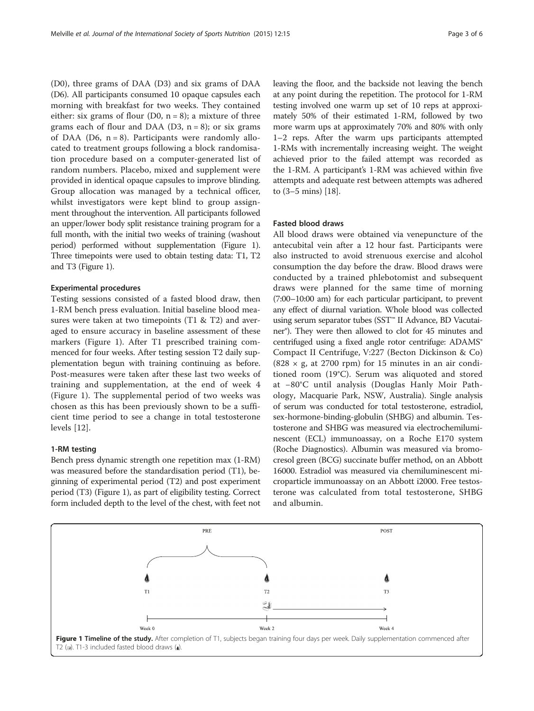<span id="page-2-0"></span>(D0), three grams of DAA (D3) and six grams of DAA (D6). All participants consumed 10 opaque capsules each morning with breakfast for two weeks. They contained either: six grams of flour (D0,  $n = 8$ ); a mixture of three grams each of flour and DAA (D3,  $n = 8$ ); or six grams of DAA (D6,  $n = 8$ ). Participants were randomly allocated to treatment groups following a block randomisation procedure based on a computer-generated list of random numbers. Placebo, mixed and supplement were provided in identical opaque capsules to improve blinding. Group allocation was managed by a technical officer, whilst investigators were kept blind to group assignment throughout the intervention. All participants followed an upper/lower body split resistance training program for a full month, with the initial two weeks of training (washout period) performed without supplementation (Figure 1). Three timepoints were used to obtain testing data: T1, T2 and T3 (Figure 1).

#### Experimental procedures

Testing sessions consisted of a fasted blood draw, then 1-RM bench press evaluation. Initial baseline blood measures were taken at two timepoints (T1 & T2) and averaged to ensure accuracy in baseline assessment of these markers (Figure 1). After T1 prescribed training commenced for four weeks. After testing session T2 daily supplementation begun with training continuing as before. Post-measures were taken after these last two weeks of training and supplementation, at the end of week 4 (Figure 1). The supplemental period of two weeks was chosen as this has been previously shown to be a sufficient time period to see a change in total testosterone levels [[12\]](#page-5-0).

#### 1-RM testing

Bench press dynamic strength one repetition max (1-RM) was measured before the standardisation period (T1), beginning of experimental period (T2) and post experiment period (T3) (Figure 1), as part of eligibility testing. Correct form included depth to the level of the chest, with feet not leaving the floor, and the backside not leaving the bench at any point during the repetition. The protocol for 1-RM testing involved one warm up set of 10 reps at approximately 50% of their estimated 1-RM, followed by two more warm ups at approximately 70% and 80% with only 1–2 reps. After the warm ups participants attempted 1-RMs with incrementally increasing weight. The weight achieved prior to the failed attempt was recorded as the 1-RM. A participant's 1-RM was achieved within five attempts and adequate rest between attempts was adhered to (3–5 mins) [\[18\]](#page-5-0).

#### Fasted blood draws

All blood draws were obtained via venepuncture of the antecubital vein after a 12 hour fast. Participants were also instructed to avoid strenuous exercise and alcohol consumption the day before the draw. Blood draws were conducted by a trained phlebotomist and subsequent draws were planned for the same time of morning (7:00–10:00 am) for each particular participant, to prevent any effect of diurnal variation. Whole blood was collected using serum separator tubes (SST™ II Advance, BD Vacutainer®). They were then allowed to clot for 45 minutes and centrifuged using a fixed angle rotor centrifuge: ADAMS® Compact II Centrifuge, V:227 (Becton Dickinson & Co) (828  $\times$  g, at 2700 rpm) for 15 minutes in an air conditioned room (19°C). Serum was aliquoted and stored at −80°C until analysis (Douglas Hanly Moir Pathology, Macquarie Park, NSW, Australia). Single analysis of serum was conducted for total testosterone, estradiol, sex-hormone-binding-globulin (SHBG) and albumin. Testosterone and SHBG was measured via electrochemiluminescent (ECL) immunoassay, on a Roche E170 system (Roche Diagnostics). Albumin was measured via bromocresol green (BCG) succinate buffer method, on an Abbott 16000. Estradiol was measured via chemiluminescent microparticle immunoassay on an Abbott i2000. Free testosterone was calculated from total testosterone, SHBG and albumin.

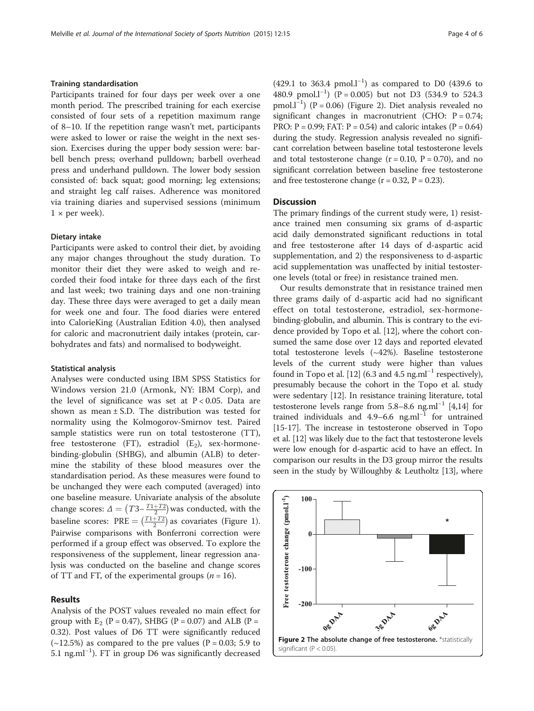#### Training standardisation

Participants trained for four days per week over a one month period. The prescribed training for each exercise consisted of four sets of a repetition maximum range of 8–10. If the repetition range wasn't met, participants were asked to lower or raise the weight in the next session. Exercises during the upper body session were: barbell bench press; overhand pulldown; barbell overhead press and underhand pulldown. The lower body session consisted of: back squat; good morning; leg extensions; and straight leg calf raises. Adherence was monitored via training diaries and supervised sessions (minimum  $1 \times$  per week).

#### Dietary intake

Participants were asked to control their diet, by avoiding any major changes throughout the study duration. To monitor their diet they were asked to weigh and recorded their food intake for three days each of the first and last week; two training days and one non-training day. These three days were averaged to get a daily mean for week one and four. The food diaries were entered into CalorieKing (Australian Edition 4.0), then analysed for caloric and macronutrient daily intakes (protein, carbohydrates and fats) and normalised to bodyweight.

#### Statistical analysis

Analyses were conducted using IBM SPSS Statistics for Windows version 21.0 (Armonk, NY: IBM Corp), and the level of significance was set at  $P < 0.05$ . Data are shown as mean  $\pm$  S.D. The distribution was tested for normality using the Kolmogorov-Smirnov test. Paired sample statistics were run on total testosterone (TT), free testosterone (FT), estradiol  $(E_2)$ , sex-hormonebinding-globulin (SHBG), and albumin (ALB) to determine the stability of these blood measures over the standardisation period. As these measures were found to be unchanged they were each computed (averaged) into one baseline measure. Univariate analysis of the absolute change scores:  $\Delta = \left(T3 - \frac{T1 + T2}{2}\right)$  was conducted, with the baseline scores:  $\text{PRE} = \left(\frac{T1+T2}{2}\right)$  as covariates (Figure [1](#page-2-0)). Pairwise comparisons with Bonferroni correction were performed if a group effect was observed. To explore the responsiveness of the supplement, linear regression analysis was conducted on the baseline and change scores of TT and FT, of the experimental groups ( $n = 16$ ).

#### Results

Analysis of the POST values revealed no main effect for group with  $E_2$  (P = 0.47), SHBG (P = 0.07) and ALB (P = 0.32). Post values of D6 TT were significantly reduced  $(-12.5%)$  as compared to the pre values (P = 0.03; 5.9 to 5.1 ng.ml−<sup>1</sup> ). FT in group D6 was significantly decreased

(429.1 to 363.4 pmol.l<sup>-1</sup>) as compared to D0 (439.6 to 480.9 pmol.l<sup>-1</sup>) (P = 0.005) but not D3 (534.9 to 524.3 pmol.l−<sup>1</sup> ) (P = 0.06) (Figure 2). Diet analysis revealed no significant changes in macronutrient (CHO:  $P = 0.74$ ; PRO:  $P = 0.99$ ; FAT:  $P = 0.54$ ) and caloric intakes ( $P = 0.64$ ) during the study. Regression analysis revealed no significant correlation between baseline total testosterone levels and total testosterone change  $(r = 0.10, P = 0.70)$ , and no significant correlation between baseline free testosterone and free testosterone change  $(r = 0.32, P = 0.23)$ .

#### **Discussion**

The primary findings of the current study were, 1) resistance trained men consuming six grams of d-aspartic acid daily demonstrated significant reductions in total and free testosterone after 14 days of d-aspartic acid supplementation, and 2) the responsiveness to d-aspartic acid supplementation was unaffected by initial testosterone levels (total or free) in resistance trained men.

Our results demonstrate that in resistance trained men three grams daily of d-aspartic acid had no significant effect on total testosterone, estradiol, sex-hormonebinding-globulin, and albumin. This is contrary to the evidence provided by Topo et al. [[12\]](#page-5-0), where the cohort consumed the same dose over 12 days and reported elevated total testosterone levels (~42%). Baseline testosterone levels of the current study were higher than values found in Topo et al. [[12](#page-5-0)] (6.3 and 4.5 ng.ml<sup>-1</sup> respectively), presumably because the cohort in the Topo et al. study were sedentary [[12](#page-5-0)]. In resistance training literature, total testosterone levels range from 5.8–8.6 ng.ml−<sup>1</sup> [\[4,14](#page-5-0)] for trained individuals and 4.9–6.6 ng.ml<sup>-1</sup> for untrained [[15](#page-5-0)-[17\]](#page-5-0). The increase in testosterone observed in Topo et al. [\[12](#page-5-0)] was likely due to the fact that testosterone levels were low enough for d-aspartic acid to have an effect. In comparison our results in the D3 group mirror the results seen in the study by Willoughby & Leutholtz [\[13\]](#page-5-0), where

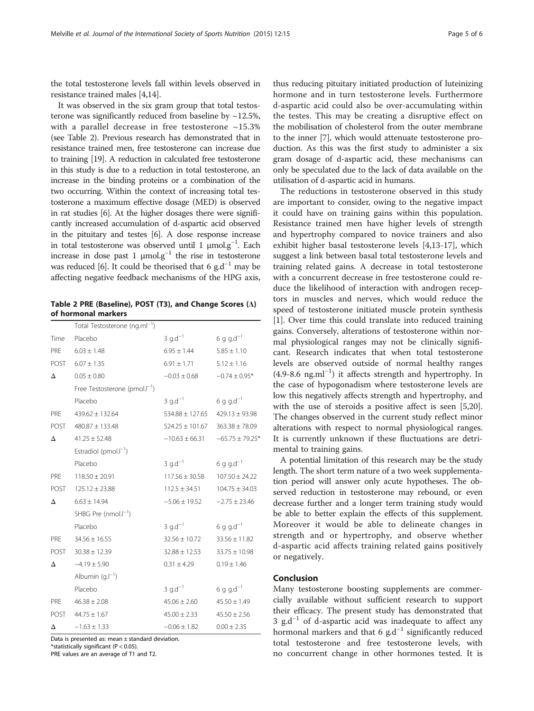the total testosterone levels fall within levels observed in resistance trained males [[4,14](#page-5-0)].

It was observed in the six gram group that total testosterone was significantly reduced from baseline by  $\sim$ 12.5%, with a parallel decrease in free testosterone  $~15.3\%$ (see Table 2). Previous research has demonstrated that in resistance trained men, free testosterone can increase due to training [\[19\]](#page-5-0). A reduction in calculated free testosterone in this study is due to a reduction in total testosterone, an increase in the binding proteins or a combination of the two occurring. Within the context of increasing total testosterone a maximum effective dosage (MED) is observed in rat studies [\[6\]](#page-5-0). At the higher dosages there were significantly increased accumulation of d-aspartic acid observed in the pituitary and testes [[6](#page-5-0)]. A dose response increase in total testosterone was observed until 1 μmol.g−<sup>1</sup> . Each increase in dose past 1  $\mu$ mol.g<sup>-1</sup> the rise in testosterone was reduced [\[6\]](#page-5-0). It could be theorised that 6 g.d<sup>-1</sup> may be affecting negative feedback mechanisms of the HPG axis,

Table 2 PRE (Baseline), POST (T3), and Change Scores (Δ) of hormonal markers

|            | Total Testosterone (ng.ml <sup>-1</sup> ) |                                        |                       |
|------------|-------------------------------------------|----------------------------------------|-----------------------|
| Time       | Placebo                                   | 3 $q.d^{-1}$                           | 6 g g.d <sup>-1</sup> |
|            | PRE $6.03 \pm 1.48$                       | $6.95 \pm 1.44$                        | $5.85 \pm 1.10$       |
|            | POST 6.07 ± 1.35                          | $6.91 \pm 1.71$                        | $5.12 \pm 1.16$       |
| Δ          | $0.05 \pm 0.80$                           | $-0.03 \pm 0.68$                       | $-0.74 \pm 0.95*$     |
|            | Free Testosterone (pmol. $I^{-1}$ )       |                                        |                       |
|            | Placebo                                   | 3 $q.d^{-1}$                           | $6 q q d^{-1}$        |
| PRE        | $439.62 \pm 132.64$                       | $534.88 \pm 127.65$                    | $429.13 \pm 93.98$    |
|            | POST 480.87 ± 133.48                      | $524.25 \pm 101.67$ $363.38 \pm 78.09$ |                       |
| Δ          | $41.25 \pm 52.48$                         | $-10.63 \pm 66.31 -65.75 \pm 79.25$ *  |                       |
|            | Estradiol (pmol. $I^{-1}$ )               |                                        |                       |
|            | Placebo                                   | 3 g.d <sup><math>-1</math></sup>       | 6 g g.d <sup>-1</sup> |
| <b>PRF</b> | $118.50 \pm 20.91$                        | $117.56 \pm 30.58$                     | $107.50 \pm 24.22$    |
|            | POST $125.12 \pm 23.88$                   | $112.5 \pm 34.51$                      | $104.75 \pm 34.03$    |
| Δ          | $6.63 \pm 14.94$                          | $-5.06 \pm 19.52$                      | $-2.75 \pm 23.46$     |
|            | SHBG Pre $(mmol.I^{-1})$                  |                                        |                       |
|            | Placebo                                   | 3 $q.d^{-1}$                           | $6 q q d^{-1}$        |
| PRE        | $34.56 \pm 16.55$                         | $32.56 \pm 10.72$                      | $33.56 \pm 11.82$     |
|            | POST $30.38 \pm 12.39$                    | $32.88 \pm 12.53$                      | $33.75 \pm 10.98$     |
| Δ          | $-4.19 \pm 5.90$                          | $0.31 \pm 4.29$                        | $0.19 \pm 1.46$       |
|            | Albumin $(g.l^{-1})$                      |                                        |                       |
|            | Placebo                                   | 3 $q.d^{-1}$                           | $6 q q d^{-1}$        |
| PRE        | $46.38 \pm 2.08$                          | $45.06 \pm 2.60$                       | $45.50 \pm 1.49$      |
|            | POST $44.75 \pm 1.67$                     | $45.00 \pm 2.33$                       | $45.50 \pm 2.56$      |
| Δ          | $-1.63 \pm 1.33$                          | $-0.06 \pm 1.82$                       | $0.00 \pm 2.35$       |

Data is presented as: mean ± standard deviation. \*statistically significant (P < 0.05).

PRE values are an average of T1 and T2.

thus reducing pituitary initiated production of luteinizing hormone and in turn testosterone levels. Furthermore d-aspartic acid could also be over-accumulating within the testes. This may be creating a disruptive effect on the mobilisation of cholesterol from the outer membrane to the inner [[7\]](#page-5-0), which would attenuate testosterone production. As this was the first study to administer a six gram dosage of d-aspartic acid, these mechanisms can only be speculated due to the lack of data available on the utilisation of d-aspartic acid in humans.

The reductions in testosterone observed in this study are important to consider, owing to the negative impact it could have on training gains within this population. Resistance trained men have higher levels of strength and hypertrophy compared to novice trainers and also exhibit higher basal testosterone levels [\[4,13](#page-5-0)-[17\]](#page-5-0), which suggest a link between basal total testosterone levels and training related gains. A decrease in total testosterone with a concurrent decrease in free testosterone could reduce the likelihood of interaction with androgen receptors in muscles and nerves, which would reduce the speed of testosterone initiated muscle protein synthesis [[1\]](#page-5-0). Over time this could translate into reduced training gains. Conversely, alterations of testosterone within normal physiological ranges may not be clinically significant. Research indicates that when total testosterone levels are observed outside of normal healthy ranges (4.9-8.6 ng.ml−<sup>1</sup> ) it affects strength and hypertrophy. In the case of hypogonadism where testosterone levels are low this negatively affects strength and hypertrophy, and with the use of steroids a positive affect is seen [\[5,20](#page-5-0)]. The changes observed in the current study reflect minor alterations with respect to normal physiological ranges. It is currently unknown if these fluctuations are detrimental to training gains.

A potential limitation of this research may be the study length. The short term nature of a two week supplementation period will answer only acute hypotheses. The observed reduction in testosterone may rebound, or even decrease further and a longer term training study would be able to better explain the effects of this supplement. Moreover it would be able to delineate changes in strength and or hypertrophy, and observe whether d-aspartic acid affects training related gains positively or negatively.

#### Conclusion

Many testosterone boosting supplements are commercially available without sufficient research to support their efficacy. The present study has demonstrated that 3 g.d<sup>-1</sup> of d-aspartic acid was inadequate to affect any hormonal markers and that 6  $g.d^{-1}$  significantly reduced total testosterone and free testosterone levels, with no concurrent change in other hormones tested. It is